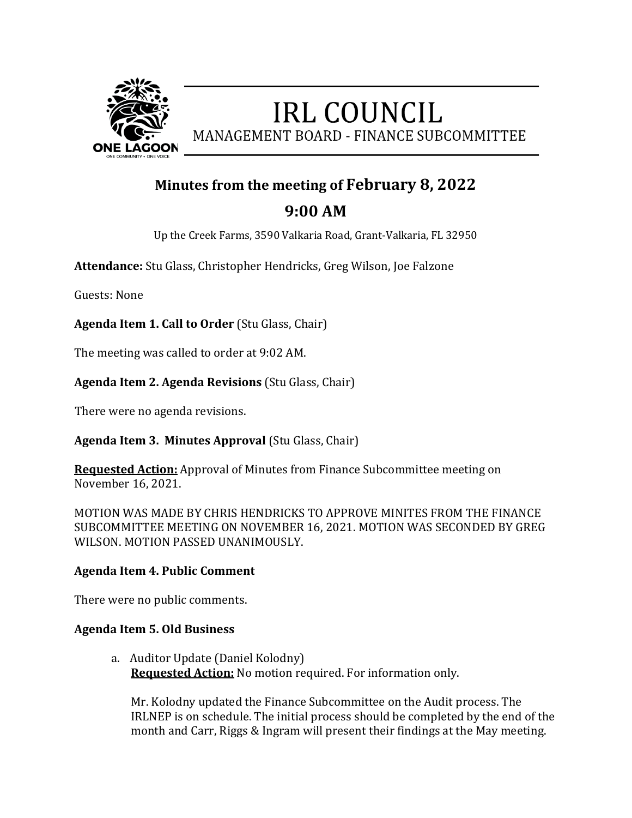

# **IRL COUNCIL** MANAGEMENT BOARD - FINANCE SUBCOMMITTEE

### **Minutes from the meeting of February 8, 2022**

## **9:00 AM**

Up the Creek Farms, 3590 Valkaria Road, Grant-Valkaria, FL 32950

**Attendance:** Stu Glass, Christopher Hendricks, Greg Wilson, Joe Falzone

Guests: None

**Agenda Item 1. Call to Order** (Stu Glass, Chair)

The meeting was called to order at 9:02 AM.

#### **Agenda Item 2. Agenda Revisions** (Stu Glass, Chair)

There were no agenda revisions.

**Agenda Item 3. Minutes Approval** (Stu Glass, Chair)

**Requested Action:** Approval of Minutes from Finance Subcommittee meeting on November 16, 2021.

MOTION WAS MADE BY CHRIS HENDRICKS TO APPROVE MINITES FROM THE FINANCE SUBCOMMITTEE MEETING ON NOVEMBER 16, 2021. MOTION WAS SECONDED BY GREG WILSON. MOTION PASSED UNANIMOUSLY.

#### **Agenda Item 4. Public Comment**

There were no public comments.

#### **Agenda Item 5. Old Business**

a. Auditor Update (Daniel Kolodny) **Requested Action:** No motion required. For information only.

 Mr. Kolodny updated the Finance Subcommittee on the Audit process. The IRLNEP is on schedule. The initial process should be completed by the end of the month and Carr, Riggs & Ingram will present their findings at the May meeting.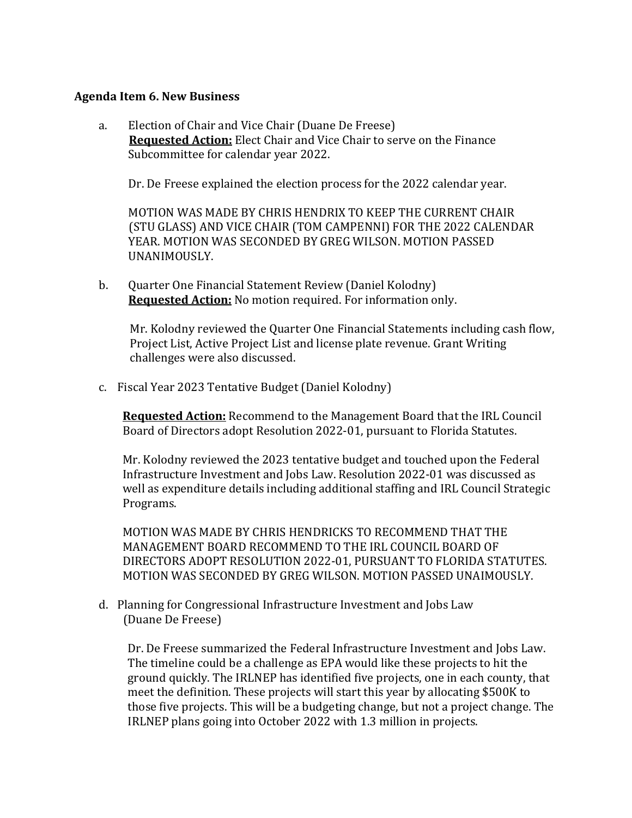#### **Agenda Item 6. New Business**

a. Election of Chair and Vice Chair (Duane De Freese)  **Requested Action:** Elect Chair and Vice Chair to serve on the Finance Subcommittee for calendar year 2022.

Dr. De Freese explained the election process for the 2022 calendar year.

 MOTION WAS MADE BY CHRIS HENDRIX TO KEEP THE CURRENT CHAIR (STU GLASS) AND VICE CHAIR (TOM CAMPENNI) FOR THE 2022 CALENDAR YEAR. MOTION WAS SECONDED BY GREG WILSON. MOTION PASSED UNANIMOUSLY.

b. Quarter One Financial Statement Review (Daniel Kolodny)  **Requested Action:** No motion required. For information only.

Mr. Kolodny reviewed the Quarter One Financial Statements including cash flow, Project List, Active Project List and license plate revenue. Grant Writing challenges were also discussed.

c. Fiscal Year 2023 Tentative Budget (Daniel Kolodny)

**Requested Action:** Recommend to the Management Board that the IRL Council Board of Directors adopt Resolution 2022-01, pursuant to Florida Statutes.

Mr. Kolodny reviewed the 2023 tentative budget and touched upon the Federal Infrastructure Investment and Jobs Law. Resolution 2022-01 was discussed as well as expenditure details including additional staffing and IRL Council Strategic Programs.

MOTION WAS MADE BY CHRIS HENDRICKS TO RECOMMEND THAT THE MANAGEMENT BOARD RECOMMEND TO THE IRL COUNCIL BOARD OF DIRECTORS ADOPT RESOLUTION 2022-01, PURSUANT TO FLORIDA STATUTES. MOTION WAS SECONDED BY GREG WILSON. MOTION PASSED UNAIMOUSLY.

d. Planning for Congressional Infrastructure Investment and Jobs Law (Duane De Freese)

Dr. De Freese summarized the Federal Infrastructure Investment and Jobs Law. The timeline could be a challenge as EPA would like these projects to hit the ground quickly. The IRLNEP has identified five projects, one in each county, that meet the definition. These projects will start this year by allocating \$500K to those five projects. This will be a budgeting change, but not a project change. The IRLNEP plans going into October 2022 with 1.3 million in projects.